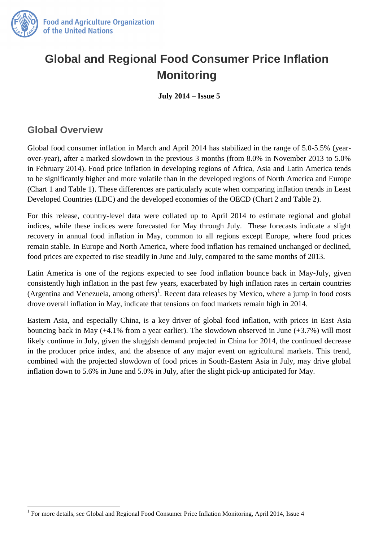

# **Global and Regional Food Consumer Price Inflation Monitoring**

**July 2014 – Issue 5** 

#### **Global Overview**

 $\overline{a}$ 

Global food consumer inflation in March and April 2014 has stabilized in the range of 5.0-5.5% (yearover-year), after a marked slowdown in the previous 3 months (from 8.0% in November 2013 to 5.0% in February 2014). Food price inflation in developing regions of Africa, Asia and Latin America tends to be significantly higher and more volatile than in the developed regions of North America and Europe (Chart 1 and Table 1). These differences are particularly acute when comparing inflation trends in Least Developed Countries (LDC) and the developed economies of the OECD (Chart 2 and Table 2).

For this release, country-level data were collated up to April 2014 to estimate regional and global indices, while these indices were forecasted for May through July. These forecasts indicate a slight recovery in annual food inflation in May, common to all regions except Europe, where food prices remain stable. In Europe and North America, where food inflation has remained unchanged or declined, food prices are expected to rise steadily in June and July, compared to the same months of 2013.

Latin America is one of the regions expected to see food inflation bounce back in May-July, given consistently high inflation in the past few years, exacerbated by high inflation rates in certain countries (Argentina and Venezuela, among others)<sup>1</sup>. Recent data releases by Mexico, where a jump in food costs drove overall inflation in May, indicate that tensions on food markets remain high in 2014.

Eastern Asia, and especially China, is a key driver of global food inflation, with prices in East Asia bouncing back in May (+4.1% from a year earlier). The slowdown observed in June (+3.7%) will most likely continue in July, given the sluggish demand projected in China for 2014, the continued decrease in the producer price index, and the absence of any major event on agricultural markets. This trend, combined with the projected slowdown of food prices in South-Eastern Asia in July, may drive global inflation down to 5.6% in June and 5.0% in July, after the slight pick-up anticipated for May.

<sup>&</sup>lt;sup>1</sup> For more details, see Global and Regional Food Consumer Price Inflation Monitoring, April 2014, Issue 4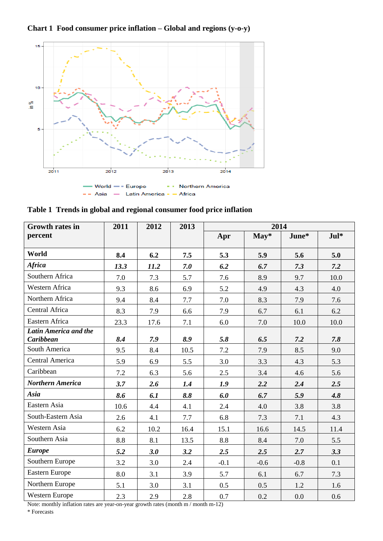**Chart 1 Food consumer price inflation – Global and regions (y-o-y)**



| <b>Growth rates in</b>                    | 2011 | 2012 | 2013 | 2014   |        |        |        |
|-------------------------------------------|------|------|------|--------|--------|--------|--------|
| percent                                   |      |      |      | Apr    | May*   | June*  | $Jul*$ |
| World                                     | 8.4  | 6.2  | 7.5  | 5.3    | 5.9    | 5.6    | 5.0    |
| <b>Africa</b>                             | 13.3 | 11.2 | 7.0  | 6.2    | 6.7    | 7.3    | 7.2    |
| Southern Africa                           | 7.0  | 7.3  | 5.7  | 7.6    | 8.9    | 9.7    | 10.0   |
| <b>Western Africa</b>                     | 9.3  | 8.6  | 6.9  | 5.2    | 4.9    | 4.3    | 4.0    |
| Northern Africa                           | 9.4  | 8.4  | 7.7  | 7.0    | 8.3    | 7.9    | 7.6    |
| Central Africa                            | 8.3  | 7.9  | 6.6  | 7.9    | 6.7    | 6.1    | 6.2    |
| Eastern Africa                            | 23.3 | 17.6 | 7.1  | 6.0    | 7.0    | 10.0   | 10.0   |
| Latin America and the<br><b>Caribbean</b> | 8.4  | 7.9  | 8.9  | 5.8    | 6.5    | 7.2    | 7.8    |
| South America                             | 9.5  | 8.4  | 10.5 | 7.2    | 7.9    | 8.5    | 9.0    |
| Central America                           | 5.9  | 6.9  | 5.5  | 3.0    | 3.3    | 4.3    | 5.3    |
| Caribbean                                 | 7.2  | 6.3  | 5.6  | 2.5    | 3.4    | 4.6    | 5.6    |
| <b>Northern America</b>                   | 3.7  | 2.6  | 1.4  | 1.9    | 2.2    | 2.4    | 2.5    |
| Asia                                      | 8.6  | 6.1  | 8.8  | 6.0    | 6.7    | 5.9    | 4.8    |
| Eastern Asia                              | 10.6 | 4.4  | 4.1  | 2.4    | 4.0    | 3.8    | 3.8    |
| South-Eastern Asia                        | 2.6  | 4.1  | 7.7  | 6.8    | 7.3    | 7.1    | 4.3    |
| Western Asia                              | 6.2  | 10.2 | 16.4 | 15.1   | 16.6   | 14.5   | 11.4   |
| Southern Asia                             | 8.8  | 8.1  | 13.5 | 8.8    | 8.4    | 7.0    | 5.5    |
| <b>Europe</b>                             | 5.2  | 3.0  | 3.2  | 2.5    | 2.5    | 2.7    | 3.3    |
| Southern Europe                           | 3.2  | 3.0  | 2.4  | $-0.1$ | $-0.6$ | $-0.8$ | 0.1    |
| Eastern Europe                            | 8.0  | 3.1  | 3.9  | 5.7    | 6.1    | 6.7    | 7.3    |
| Northern Europe                           | 5.1  | 3.0  | 3.1  | 0.5    | 0.5    | 1.2    | 1.6    |
| Western Europe                            | 2.3  | 2.9  | 2.8  | 0.7    | 0.2    | 0.0    | 0.6    |

**Table 1 Trends in global and regional consumer food price inflation** 

Note: monthly inflation rates are year-on-year growth rates (month m / month m-12)

\* Forecasts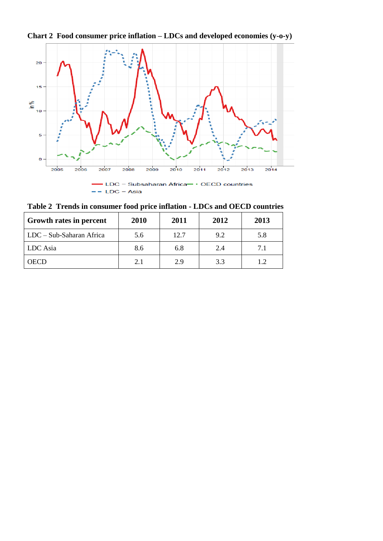



**Table 2 Trends in consumer food price inflation - LDCs and OECD countries**

| <b>Growth rates in percent</b> | 2010 | 2011 | 2012 | 2013 |
|--------------------------------|------|------|------|------|
| LDC – Sub-Saharan Africa       | 5.6  | 12.7 | 9.2  | 5.8  |
| LDC Asia                       | 8.6  | 6.8  | 2.4  | 7.1  |
| <b>OECD</b>                    | 2.1  | 2.9  | 3.3  |      |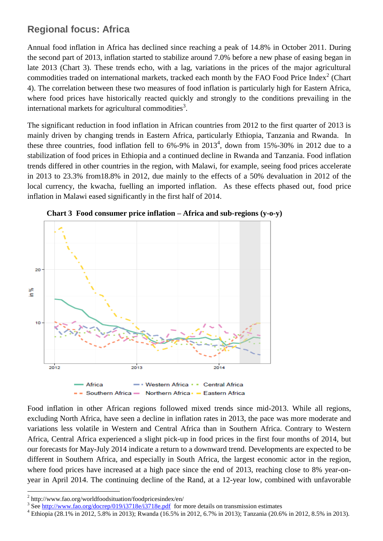# **Regional focus: Africa**

Annual food inflation in Africa has declined since reaching a peak of 14.8% in October 2011. During the second part of 2013, inflation started to stabilize around 7.0% before a new phase of easing began in late 2013 (Chart 3). These trends echo, with a lag, variations in the prices of the major agricultural commodities traded on international markets, tracked each month by the FAO Food Price Index<sup>2</sup> (Chart 4). The correlation between these two measures of food inflation is particularly high for Eastern Africa, where food prices have historically reacted quickly and strongly to the conditions prevailing in the international markets for agricultural commodities<sup>3</sup>.

The significant reduction in food inflation in African countries from 2012 to the first quarter of 2013 is mainly driven by changing trends in Eastern Africa, particularly Ethiopia, Tanzania and Rwanda. In these three countries, food inflation fell to  $6\%$ -9% in  $2013<sup>4</sup>$ , down from 15%-30% in 2012 due to a stabilization of food prices in Ethiopia and a continued decline in Rwanda and Tanzania. Food inflation trends differed in other countries in the region, with Malawi, for example, seeing food prices accelerate in 2013 to 23.3% from18.8% in 2012, due mainly to the effects of a 50% devaluation in 2012 of the local currency, the kwacha, fuelling an imported inflation. As these effects phased out, food price inflation in Malawi eased significantly in the first half of 2014.



**Chart 3 Food consumer price inflation – Africa and sub-regions (y-o-y)**

Food inflation in other African regions followed mixed trends since mid-2013. While all regions, excluding North Africa, have seen a decline in inflation rates in 2013, the pace was more moderate and variations less volatile in Western and Central Africa than in Southern Africa. Contrary to Western Africa, Central Africa experienced a slight pick-up in food prices in the first four months of 2014, but our forecasts for May-July 2014 indicate a return to a downward trend. Developments are expected to be different in Southern Africa, and especially in South Africa, the largest economic actor in the region, where food prices have increased at a high pace since the end of 2013, reaching close to 8% year-onyear in April 2014. The continuing decline of the Rand, at a 12-year low, combined with unfavorable

 $\overline{a}$ <sup>2</sup> http://www.fao.org/worldfoodsituation/foodpricesindex/en/

<sup>&</sup>lt;sup>3</sup> See<http://www.fao.org/docrep/019/i3718e/i3718e.pdf>for more details on transmission estimates

<sup>4</sup> Ethiopia (28.1% in 2012, 5.8% in 2013); Rwanda (16.5% in 2012, 6.7% in 2013); Tanzania (20.6% in 2012, 8.5% in 2013).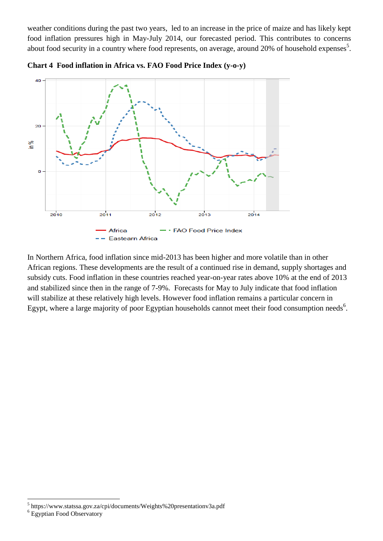weather conditions during the past two years, led to an increase in the price of maize and has likely kept food inflation pressures high in May-July 2014, our forecasted period. This contributes to concerns about food security in a country where food represents, on average, around 20% of household expenses<sup>5</sup>.



**Chart 4 Food inflation in Africa vs. FAO Food Price Index (y-o-y)**

In Northern Africa, food inflation since mid-2013 has been higher and more volatile than in other African regions. These developments are the result of a continued rise in demand, supply shortages and subsidy cuts. Food inflation in these countries reached year-on-year rates above 10% at the end of 2013 and stabilized since then in the range of 7-9%. Forecasts for May to July indicate that food inflation will stabilize at these relatively high levels. However food inflation remains a particular concern in Egypt, where a large majority of poor Egyptian households cannot meet their food consumption needs<sup>6</sup>.

 $\overline{a}$ <sup>5</sup> https://www.statssa.gov.za/cpi/documents/Weights%20presentationv3a.pdf

<sup>&</sup>lt;sup>6</sup> Egyptian Food Observatory